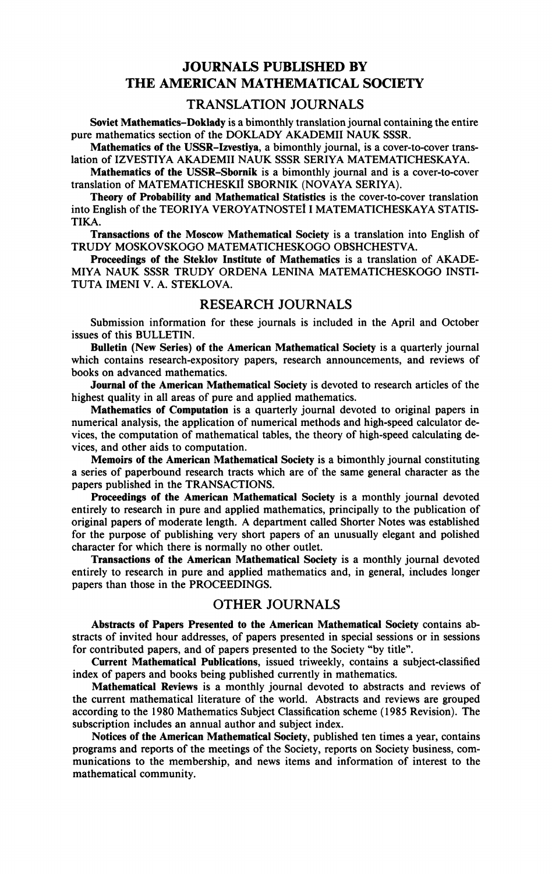# **JOURNALS PUBLISHED BY THE AMERICAN MATHEMATICAL SOCIETY**

# TRANSLATION JOURNALS

**Soviet Mathematics-Doklady** is a bimonthly translation journal containing the entire pure mathematics section of the DOKLADY AKADEMII NAUK SSSR.

**Mathematics of the USSR-Izvestiya,** a bimonthly journal, is a cover-to-cover translation of IZVESTIYA AKADEMII NAUK SSSR SERIYA MATEMATICHESKAYA.

**Mathematics of the USSR-Sbornik** is a bimonthly journal and is a cover-to-cover translation of MATEMATICHESKII SBORNIK (NOVAYA SERIYA).

**Theory of Probability and Mathematical Statistics** is the cover-to-cover translation into English of the TEORIYA VEROYATNOSTEÏI MATEMATICHESKAYA STATIS-TIKA.

**Transactions of the Moscow Mathematical Society** is a translation into English of TRUDY MOSKOVSKOGO MATEMATICHESKOGO OBSHCHESTVA.

**Proceedings of the Steklov Institute of Mathematics** is a translation of AKADE-MIYA NAUK SSSR TRUDY ORDENA LENINA MATEMATICHESKOGO INSTI-TUTA IMENI V. A. STEKLOVA.

## RESEARCH JOURNALS

Submission information for these journals is included in the April and October issues of this BULLETIN.

**Bulletin (New Series) of the American Mathematical Society** is a quarterly journal which contains research-expository papers, research announcements, and reviews of books on advanced mathematics.

**Journal of the American Mathematical Society** is devoted to research articles of the highest quality in all areas of pure and applied mathematics.

**Mathematics of Computation** is a quarterly journal devoted to original papers in numerical analysis, the application of numerical methods and high-speed calculator devices, the computation of mathematical tables, the theory of high-speed calculating devices, and other aids to computation.

**Memoirs of the American Mathematical Society** is a bimonthly journal constituting a series of paperbound research tracts which are of the same general character as the papers published in the TRANSACTIONS.

**Proceedings of the American Mathematical Society** is a monthly journal devoted entirely to research in pure and applied mathematics, principally to the publication of original papers of moderate length. A department called Shorter Notes was established for the purpose of publishing very short papers of an unusually elegant and polished character for which there is normally no other outlet.

**Transactions of the American Mathematical Society** is a monthly journal devoted entirely to research in pure and applied mathematics and, in general, includes longer papers than those in the PROCEEDINGS.

# OTHER JOURNALS

**Abstracts of Papers Presented to the American Mathematical Society** contains abstracts of invited hour addresses, of papers presented in special sessions or in sessions for contributed papers, and of papers presented to the Society "by title".

**Current Mathematical Publications,** issued triweekly, contains a subject-classified index of papers and books being published currently in mathematics.

**Mathematical Reviews** is a monthly journal devoted to abstracts and reviews of the current mathematical literature of the world. Abstracts and reviews are grouped according to the 1980 Mathematics Subject Classification scheme (1985 Revision). The subscription includes an annual author and subject index.

**Notices of the American Mathematical Society,** published ten times a year, contains programs and reports of the meetings of the Society, reports on Society business, communications to the membership, and news items and information of interest to the mathematical community.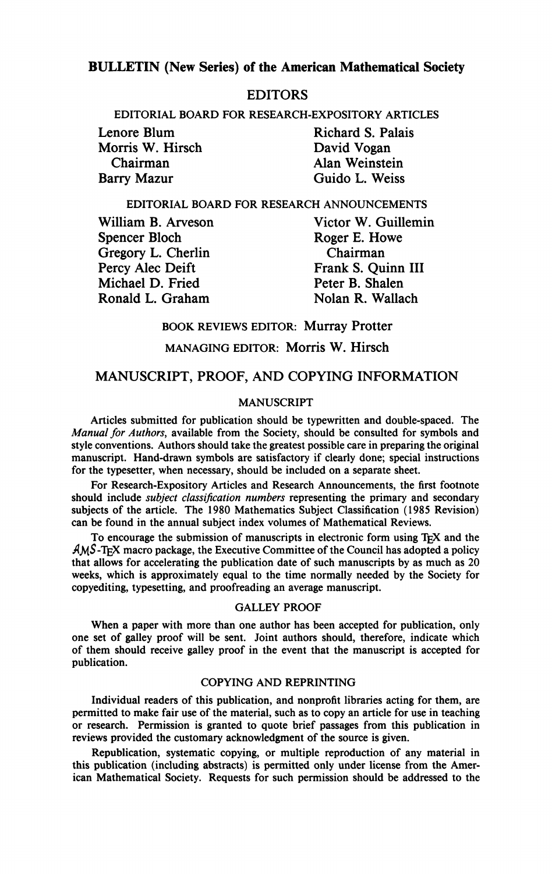### **BULLETIN (New Series) of the American Mathematical Society**

# EDITORS

#### **EDITORIAL BOARD FOR RESEARCH-EXPOSITORY ARTICLES**

Lenore Blum<br>
Morris W. Hirsch<br>
Morris W. Hirsch<br>
Morris W. Hirsch<br>
Morris W. Hirsch<br>
Morris W. Hirsch<br>
Morris W. Hirsch<br>
Morris W. Hirsch<br>
Morris W. Hirsch<br>
Morris W. Hirsch<br>
Morris W. Hirsch<br>
Morris W. Hirsch<br>
Morris W. H Chairman Alan Weinstein<br>Barry Mazur Guido L. Weiss

David Vogan Guido L. Weiss

#### **EDITORIAL BOARD FOR RESEARCH ANNOUNCEMENTS**

Gregory L. Cherlin Chairman<br>
Percy Alec Deift Frank S. Ou Michael D. Fried Peter B. Shalen<br>
Ronald L. Graham Nolan R. Wallach Ronald L. Graham

William B. Arveson Victor W. Guillemin<br>
Spencer Bloch Roger E. Howe Roger E. Howe Frank S. Quinn III<br>Peter B. Shalen

# BOOK REVIEWS EDITOR: Murray Protter MANAGING EDITOR: Morris W. Hirsch

## MANUSCRIPT, PROOF, AND COPYING INFORMATION

#### **MANUSCRIPT**

**Articles submitted for publication should be typewritten and double-spaced. The**  *Manual for Authors,* **available from the Society, should be consulted for symbols and style conventions. Authors should take the greatest possible care in preparing the original manuscript. Hand-drawn symbols are satisfactory if clearly done; special instructions for the typesetter, when necessary, should be included on a separate sheet.** 

**For Research-Expository Articles and Research Announcements, the first footnote should include** *subject classification numbers* **representing the primary and secondary subjects of the article. The 1980 Mathematics Subject Classification (1985 Revision) can be found in the annual subject index volumes of Mathematical Reviews.** 

**To encourage the submission of manuscripts in electronic form using TgX and the**  AMS-T<sub>F</sub>X macro package, the Executive Committee of the Council has adopted a policy **that allows for accelerating the publication date of such manuscripts by as much as 20 weeks, which is approximately equal to the time normally needed by the Society for copyediting, typesetting, and proofreading an average manuscript.** 

### **GALLEY PROOF**

**When a paper with more than one author has been accepted for publication, only one set of galley proof will be sent. Joint authors should, therefore, indicate which of them should receive galley proof in the event that the manuscript is accepted for publication.** 

#### **COPYING AND REPRINTING**

**Individual readers of this publication, and nonprofit libraries acting for them, are permitted to make fair use of the material, such as to copy an article for use in teaching or research. Permission is granted to quote brief passages from this publication in reviews provided the customary acknowledgment of the source is given.** 

**Republication, systematic copying, or multiple reproduction of any material in this publication (including abstracts) is permitted only under license from the American Mathematical Society. Requests for such permission should be addressed to the**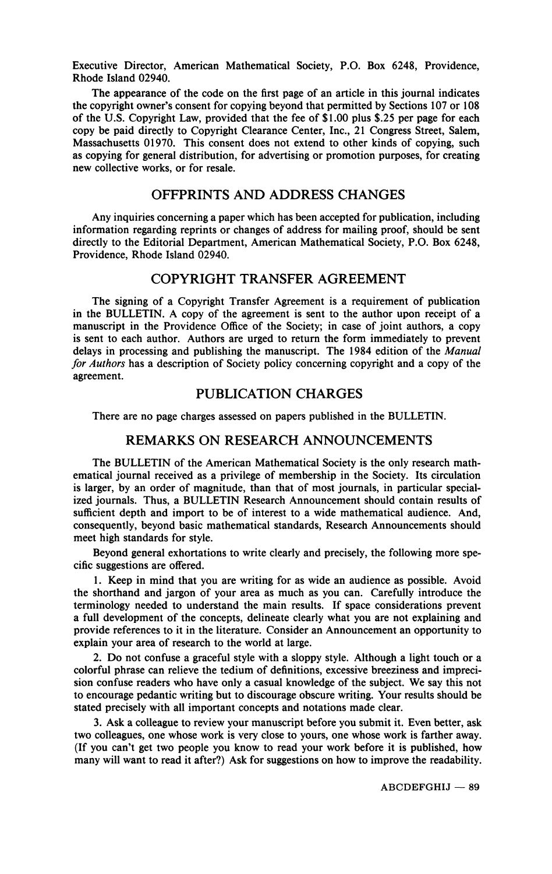**Executive Director, American Mathematical Society, P.O. Box 6248, Providence, Rhode Island 02940.** 

**The appearance of the code on the first page of an article in this journal indicates the copyright owner's consent for copying beyond that permitted by Sections 107 or 108 of the U.S. Copyright Law, provided that the fee of \$1.00 plus \$.25 per page for each copy be paid directly to Copyright Clearance Center, Inc., 21 Congress Street, Salem, Massachusetts 01970. This consent does not extend to other kinds of copying, such as copying for general distribution, for advertising or promotion purposes, for creating new collective works, or for resale.** 

# **OFFPRINTS AND ADDRESS CHANGES**

**Any inquiries concerning a paper which has been accepted for publication, including information regarding reprints or changes of address for mailing proof, should be sent directly to the Editorial Department, American Mathematical Society, P.O. Box 6248, Providence, Rhode Island 02940.** 

## **COPYRIGHT TRANSFER AGREEMENT**

**The signing of a Copyright Transfer Agreement is a requirement of publication in the BULLETIN. A copy of the agreement is sent to the author upon receipt of a manuscript in the Providence Office of the Society; in case of joint authors, a copy is sent to each author. Authors are urged to return the form immediately to prevent delays in processing and publishing the manuscript. The 1984 edition of the** *Manual for Authors* **has a description of Society policy concerning copyright and a copy of the agreement.** 

### **PUBLICATION CHARGES**

**There are no page charges assessed on papers published in the BULLETIN.** 

## **REMARKS ON RESEARCH ANNOUNCEMENTS**

**The BULLETIN of the American Mathematical Society is the only research mathematical journal received as a privilege of membership in the Society. Its circulation is larger, by an order of magnitude, than that of most journals, in particular specialized journals. Thus, a BULLETIN Research Announcement should contain results of sufficient depth and import to be of interest to a wide mathematical audience. And, consequently, beyond basic mathematical standards, Research Announcements should meet high standards for style.** 

**Beyond general exhortations to write clearly and precisely, the following more specific suggestions are offered.** 

**1. Keep in mind that you are writing for as wide an audience as possible. Avoid the shorthand and jargon of your area as much as you can. Carefully introduce the terminology needed to understand the main results. If space considerations prevent a full development of the concepts, delineate clearly what you are not explaining and provide references to it in the literature. Consider an Announcement an opportunity to explain your area of research to the world at large.** 

**2. Do not confuse a graceful style with a sloppy style. Although a light touch or a colorful phrase can relieve the tedium of definitions, excessive breeziness and imprecision confuse readers who have only a casual knowledge of the subject. We say this not to encourage pedantic writing but to discourage obscure writing. Your results should be stated precisely with all important concepts and notations made clear.** 

**3. Ask a colleague to review your manuscript before you submit it. Even better, ask two colleagues, one whose work is very close to yours, one whose work is farther away. (If you can't get two people you know to read your work before it is published, how many will want to read it after?) Ask for suggestions on how to improve the readability.**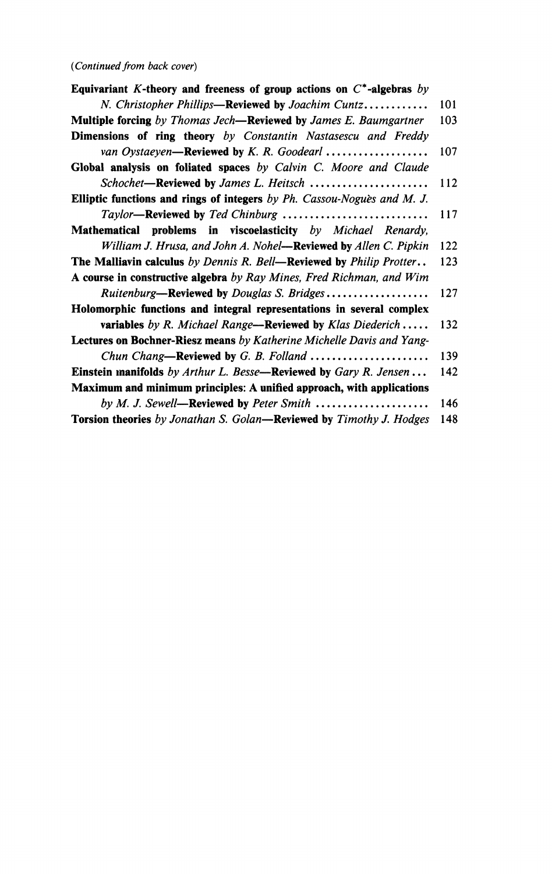# *(Continued from back cover)*

| Equivariant K-theory and freeness of group actions on $C^*$ -algebras by           |     |
|------------------------------------------------------------------------------------|-----|
| N. Christopher Phillips-Reviewed by Joachim Cuntz                                  | 101 |
| <b>Multiple forcing</b> by Thomas Jech— <b>Reviewed by</b> James E. Baumgartner    | 103 |
| <b>Dimensions of ring theory</b> by Constantin Nastasescu and Freddy               |     |
|                                                                                    | 107 |
| Global analysis on foliated spaces by Calvin C. Moore and Claude                   |     |
| Schochet-Reviewed by James L. Heitsch                                              | 112 |
| <b>Elliptic functions and rings of integers</b> by Ph. Cassou-Nogues and M. J.     |     |
|                                                                                    | 117 |
| Mathematical problems in viscoelasticity by Michael Renardy,                       |     |
| William J. Hrusa, and John A. Nohel-Reviewed by Allen C. Pipkin                    | 122 |
| <b>The Malliavin calculus</b> by Dennis R. Bell— <b>Reviewed by</b> Philip Protter | 123 |
| A course in constructive algebra by Ray Mines, Fred Richman, and Wim               |     |
| Ruitenburg-Reviewed by Douglas S. Bridges                                          | 127 |
| Holomorphic functions and integral representations in several complex              |     |
| <b>variables</b> by R. Michael Range-Reviewed by Klas Diederich                    | 132 |
| <b>Lectures on Bochner-Riesz means</b> by Katherine Michelle Davis and Yang-       |     |
|                                                                                    | 139 |
| Einstein manifolds by Arthur L. Besse-Reviewed by Gary R. Jensen                   | 142 |
| Maximum and minimum principles: A unified approach, with applications              |     |
| by M. J. Sewell-Reviewed by Peter Smith                                            | 146 |
| <b>Torsion theories</b> by Jonathan S. Golan— <b>Reviewed by</b> Timothy J. Hodges | 148 |